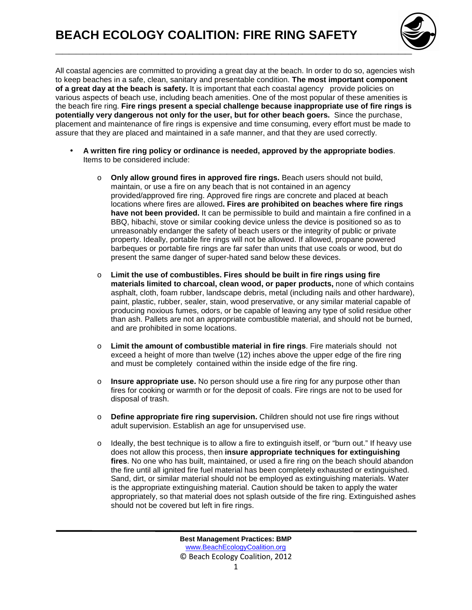

All coastal agencies are committed to providing a great day at the beach. In order to do so, agencies wish to keep beaches in a safe, clean, sanitary and presentable condition. **The most important component of a great day at the beach is safety.** It is important that each coastal agency provide policies on various aspects of beach use, including beach amenities. One of the most popular of these amenities is the beach fire ring. **Fire rings present a special challenge because inappropriate use of fire rings is potentially very dangerous not only for the user, but for other beach goers.** Since the purchase, placement and maintenance of fire rings is expensive and time consuming, every effort must be made to assure that they are placed and maintained in a safe manner, and that they are used correctly.

- **A written fire ring policy or ordinance is needed, approved by the appropriate bodies**. Items to be considered include:
	- o **Only allow ground fires in approved fire rings.** Beach users should not build, maintain, or use a fire on any beach that is not contained in an agency provided/approved fire ring. Approved fire rings are concrete and placed at beach locations where fires are allowed**. Fires are prohibited on beaches where fire rings have not been provided.** It can be permissible to build and maintain a fire confined in a BBQ, hibachi, stove or similar cooking device unless the device is positioned so as to unreasonably endanger the safety of beach users or the integrity of public or private property. Ideally, portable fire rings will not be allowed. If allowed, propane powered barbeques or portable fire rings are far safer than units that use coals or wood, but do present the same danger of super-hated sand below these devices.
	- o **Limit the use of combustibles. Fires should be built in fire rings using fire materials limited to charcoal, clean wood, or paper products,** none of which contains asphalt, cloth, foam rubber, landscape debris, metal (including nails and other hardware), paint, plastic, rubber, sealer, stain, wood preservative, or any similar material capable of producing noxious fumes, odors, or be capable of leaving any type of solid residue other than ash. Pallets are not an appropriate combustible material, and should not be burned, and are prohibited in some locations.
	- o **Limit the amount of combustible material in fire rings**. Fire materials should not exceed a height of more than twelve (12) inches above the upper edge of the fire ring and must be completely contained within the inside edge of the fire ring.
	- o **Insure appropriate use.** No person should use a fire ring for any purpose other than fires for cooking or warmth or for the deposit of coals. Fire rings are not to be used for disposal of trash.
	- o **Define appropriate fire ring supervision.** Children should not use fire rings without adult supervision. Establish an age for unsupervised use.
	- $\circ$  Ideally, the best technique is to allow a fire to extinguish itself, or "burn out." If heavy use does not allow this process, then **insure appropriate techniques for extinguishing fires**. No one who has built, maintained, or used a fire ring on the beach should abandon the fire until all ignited fire fuel material has been completely exhausted or extinguished. Sand, dirt, or similar material should not be employed as extinguishing materials. Water is the appropriate extinguishing material. Caution should be taken to apply the water appropriately, so that material does not splash outside of the fire ring. Extinguished ashes should not be covered but left in fire rings.